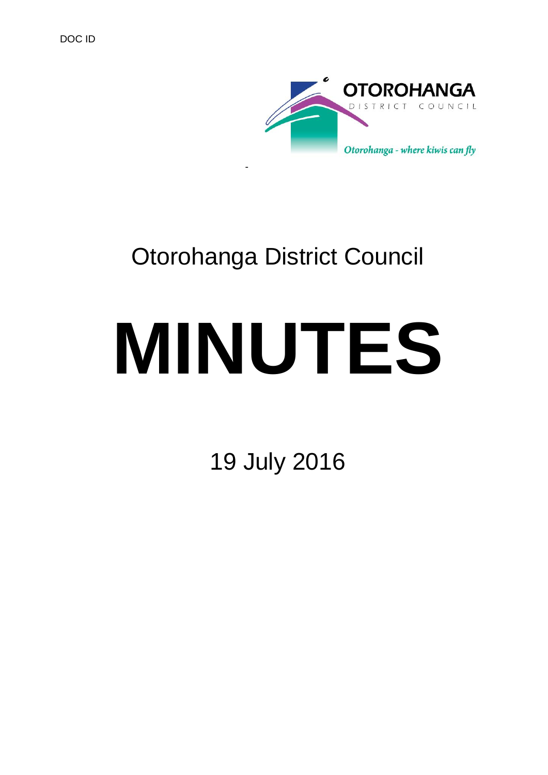

# Otorohanga District Council

-

# **MINUTES**

19 July 2016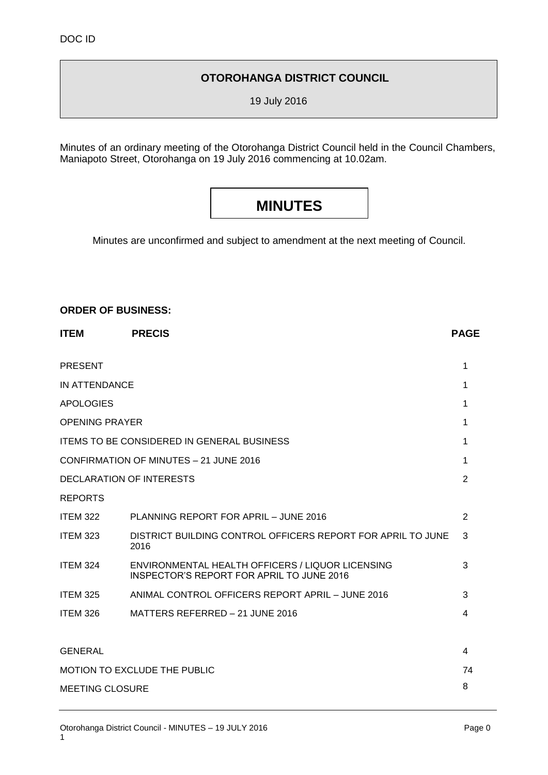# **OTOROHANGA DISTRICT COUNCIL**

19 July 2016

Minutes of an ordinary meeting of the Otorohanga District Council held in the Council Chambers, Maniapoto Street, Otorohanga on 19 July 2016 commencing at 10.02am.

# **MINUTES**

Minutes are unconfirmed and subject to amendment at the next meeting of Council.

#### **ORDER OF BUSINESS:**

| <b>ITEM</b>                                   | <b>PRECIS</b>                                                                                        | <b>PAGE</b> |
|-----------------------------------------------|------------------------------------------------------------------------------------------------------|-------------|
| <b>PRESENT</b>                                |                                                                                                      | 1           |
| <b>IN ATTENDANCE</b>                          |                                                                                                      | 1           |
| <b>APOLOGIES</b>                              |                                                                                                      | 1           |
| <b>OPENING PRAYER</b>                         |                                                                                                      | 1           |
|                                               | ITEMS TO BE CONSIDERED IN GENERAL BUSINESS                                                           | 1           |
| <b>CONFIRMATION OF MINUTES - 21 JUNE 2016</b> |                                                                                                      | 1           |
| DECLARATION OF INTERESTS                      |                                                                                                      | 2           |
| <b>REPORTS</b>                                |                                                                                                      |             |
| <b>ITEM 322</b>                               | PLANNING REPORT FOR APRIL - JUNE 2016                                                                | 2           |
| <b>ITEM 323</b>                               | DISTRICT BUILDING CONTROL OFFICERS REPORT FOR APRIL TO JUNE<br>2016                                  | 3           |
| <b>ITEM 324</b>                               | ENVIRONMENTAL HEALTH OFFICERS / LIQUOR LICENSING<br><b>INSPECTOR'S REPORT FOR APRIL TO JUNE 2016</b> | 3           |
| <b>ITEM 325</b>                               | ANIMAL CONTROL OFFICERS REPORT APRIL - JUNE 2016                                                     | 3           |
| <b>ITEM 326</b>                               | MATTERS REFERRED - 21 JUNE 2016                                                                      | 4           |
|                                               |                                                                                                      |             |
| <b>GENERAL</b>                                |                                                                                                      | 4           |
| MOTION TO EXCLUDE THE PUBLIC                  |                                                                                                      | 74          |
| <b>MEETING CLOSURE</b>                        |                                                                                                      | 8           |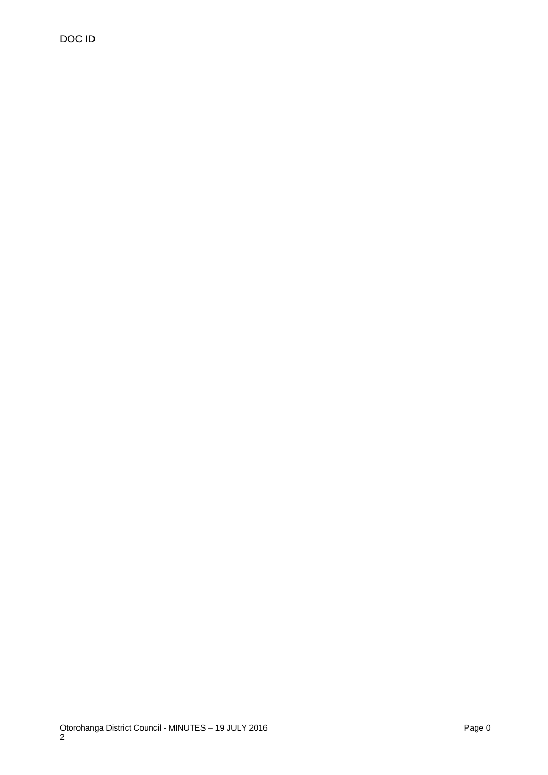DOC ID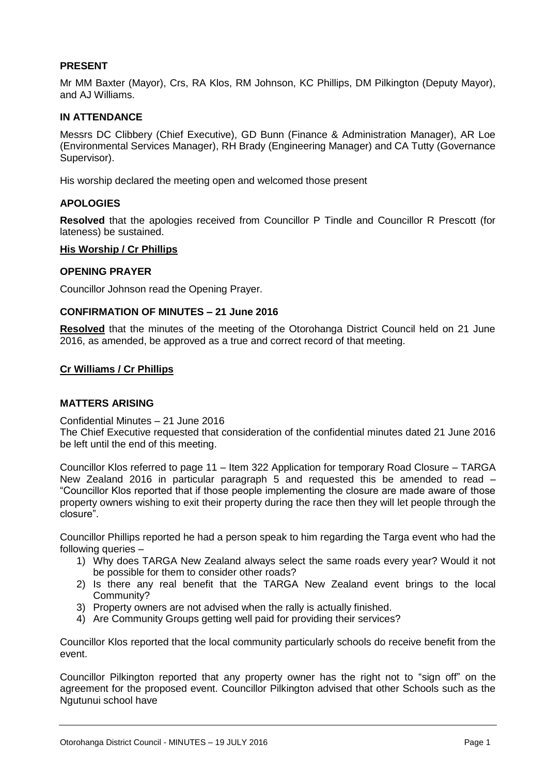#### **PRESENT**

Mr MM Baxter (Mayor), Crs, RA Klos, RM Johnson, KC Phillips, DM Pilkington (Deputy Mayor), and AJ Williams.

#### **IN ATTENDANCE**

Messrs DC Clibbery (Chief Executive), GD Bunn (Finance & Administration Manager), AR Loe (Environmental Services Manager), RH Brady (Engineering Manager) and CA Tutty (Governance Supervisor).

His worship declared the meeting open and welcomed those present

#### **APOLOGIES**

**Resolved** that the apologies received from Councillor P Tindle and Councillor R Prescott (for lateness) be sustained.

#### **His Worship / Cr Phillips**

#### **OPENING PRAYER**

Councillor Johnson read the Opening Prayer.

#### **CONFIRMATION OF MINUTES – 21 June 2016**

**Resolved** that the minutes of the meeting of the Otorohanga District Council held on 21 June 2016, as amended, be approved as a true and correct record of that meeting.

#### **Cr Williams / Cr Phillips**

#### **MATTERS ARISING**

#### Confidential Minutes – 21 June 2016

The Chief Executive requested that consideration of the confidential minutes dated 21 June 2016 be left until the end of this meeting.

Councillor Klos referred to page 11 – Item 322 Application for temporary Road Closure – TARGA New Zealand 2016 in particular paragraph 5 and requested this be amended to read – "Councillor Klos reported that if those people implementing the closure are made aware of those property owners wishing to exit their property during the race then they will let people through the closure".

Councillor Phillips reported he had a person speak to him regarding the Targa event who had the following queries –

- 1) Why does TARGA New Zealand always select the same roads every year? Would it not be possible for them to consider other roads?
- 2) Is there any real benefit that the TARGA New Zealand event brings to the local Community?
- 3) Property owners are not advised when the rally is actually finished.
- 4) Are Community Groups getting well paid for providing their services?

Councillor Klos reported that the local community particularly schools do receive benefit from the event.

Councillor Pilkington reported that any property owner has the right not to "sign off" on the agreement for the proposed event. Councillor Pilkington advised that other Schools such as the Ngutunui school have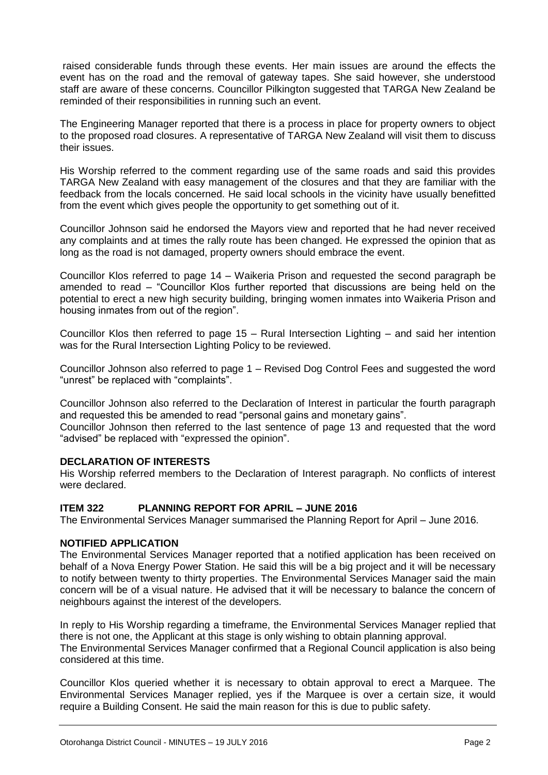raised considerable funds through these events. Her main issues are around the effects the event has on the road and the removal of gateway tapes. She said however, she understood staff are aware of these concerns. Councillor Pilkington suggested that TARGA New Zealand be reminded of their responsibilities in running such an event.

The Engineering Manager reported that there is a process in place for property owners to object to the proposed road closures. A representative of TARGA New Zealand will visit them to discuss their issues.

His Worship referred to the comment regarding use of the same roads and said this provides TARGA New Zealand with easy management of the closures and that they are familiar with the feedback from the locals concerned. He said local schools in the vicinity have usually benefitted from the event which gives people the opportunity to get something out of it.

Councillor Johnson said he endorsed the Mayors view and reported that he had never received any complaints and at times the rally route has been changed. He expressed the opinion that as long as the road is not damaged, property owners should embrace the event.

Councillor Klos referred to page 14 – Waikeria Prison and requested the second paragraph be amended to read – "Councillor Klos further reported that discussions are being held on the potential to erect a new high security building, bringing women inmates into Waikeria Prison and housing inmates from out of the region".

Councillor Klos then referred to page 15 – Rural Intersection Lighting – and said her intention was for the Rural Intersection Lighting Policy to be reviewed.

Councillor Johnson also referred to page 1 – Revised Dog Control Fees and suggested the word "unrest" be replaced with "complaints".

Councillor Johnson also referred to the Declaration of Interest in particular the fourth paragraph and requested this be amended to read "personal gains and monetary gains".

Councillor Johnson then referred to the last sentence of page 13 and requested that the word "advised" be replaced with "expressed the opinion".

#### **DECLARATION OF INTERESTS**

His Worship referred members to the Declaration of Interest paragraph. No conflicts of interest were declared.

#### **ITEM 322 PLANNING REPORT FOR APRIL – JUNE 2016**

The Environmental Services Manager summarised the Planning Report for April – June 2016.

#### **NOTIFIED APPLICATION**

The Environmental Services Manager reported that a notified application has been received on behalf of a Nova Energy Power Station. He said this will be a big project and it will be necessary to notify between twenty to thirty properties. The Environmental Services Manager said the main concern will be of a visual nature. He advised that it will be necessary to balance the concern of neighbours against the interest of the developers.

In reply to His Worship regarding a timeframe, the Environmental Services Manager replied that there is not one, the Applicant at this stage is only wishing to obtain planning approval. The Environmental Services Manager confirmed that a Regional Council application is also being considered at this time.

Councillor Klos queried whether it is necessary to obtain approval to erect a Marquee. The Environmental Services Manager replied, yes if the Marquee is over a certain size, it would require a Building Consent. He said the main reason for this is due to public safety.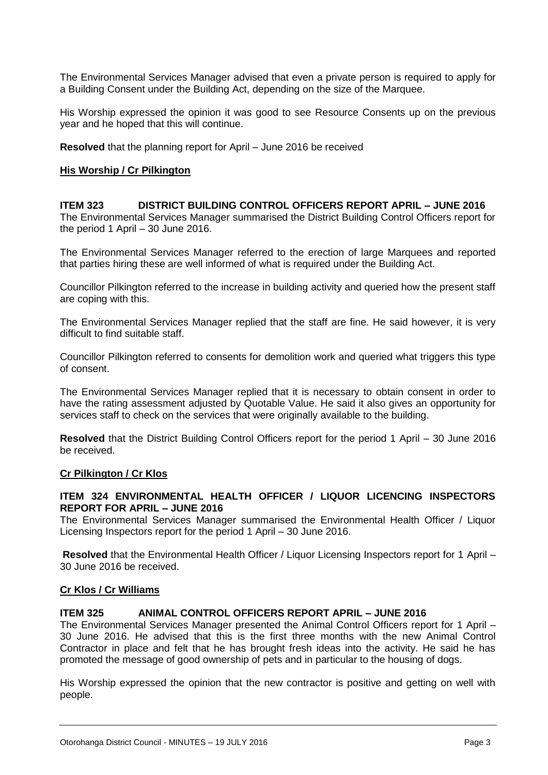The Environmental Services Manager advised that even a private person is required to apply for a Building Consent under the Building Act, depending on the size of the Marquee.

His Worship expressed the opinion it was good to see Resource Consents up on the previous year and he hoped that this will continue.

**Resolved** that the planning report for April – June 2016 be received

#### **His Worship / Cr Pilkington**

**ITEM 323 DISTRICT BUILDING CONTROL OFFICERS REPORT APRIL – JUNE 2016** The Environmental Services Manager summarised the District Building Control Officers report for the period 1 April – 30 June 2016.

The Environmental Services Manager referred to the erection of large Marquees and reported that parties hiring these are well informed of what is required under the Building Act.

Councillor Pilkington referred to the increase in building activity and queried how the present staff are coping with this.

The Environmental Services Manager replied that the staff are fine. He said however, it is very difficult to find suitable staff.

Councillor Pilkington referred to consents for demolition work and queried what triggers this type of consent.

The Environmental Services Manager replied that it is necessary to obtain consent in order to have the rating assessment adjusted by Quotable Value. He said it also gives an opportunity for services staff to check on the services that were originally available to the building.

**Resolved** that the District Building Control Officers report for the period 1 April – 30 June 2016 be received.

#### **Cr Pilkington / Cr Klos**

#### **ITEM 324 ENVIRONMENTAL HEALTH OFFICER / LIQUOR LICENCING INSPECTORS REPORT FOR APRIL – JUNE 2016**

The Environmental Services Manager summarised the Environmental Health Officer / Liquor Licensing Inspectors report for the period 1 April – 30 June 2016.

**Resolved** that the Environmental Health Officer / Liquor Licensing Inspectors report for 1 April – 30 June 2016 be received.

#### **Cr Klos / Cr Williams**

#### **ITEM 325 ANIMAL CONTROL OFFICERS REPORT APRIL – JUNE 2016**

The Environmental Services Manager presented the Animal Control Officers report for 1 April – 30 June 2016. He advised that this is the first three months with the new Animal Control Contractor in place and felt that he has brought fresh ideas into the activity. He said he has promoted the message of good ownership of pets and in particular to the housing of dogs.

His Worship expressed the opinion that the new contractor is positive and getting on well with people.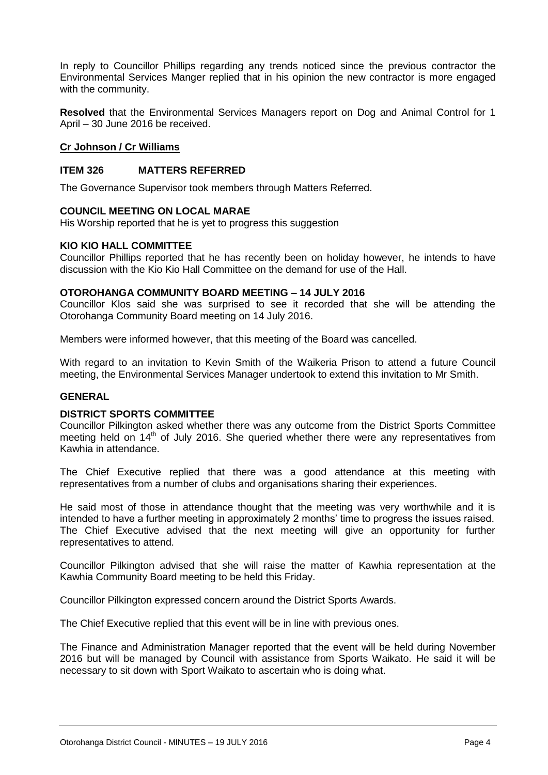In reply to Councillor Phillips regarding any trends noticed since the previous contractor the Environmental Services Manger replied that in his opinion the new contractor is more engaged with the community.

**Resolved** that the Environmental Services Managers report on Dog and Animal Control for 1 April – 30 June 2016 be received.

#### **Cr Johnson / Cr Williams**

#### **ITEM 326 MATTERS REFERRED**

The Governance Supervisor took members through Matters Referred.

#### **COUNCIL MEETING ON LOCAL MARAE**

His Worship reported that he is yet to progress this suggestion

#### **KIO KIO HALL COMMITTEE**

Councillor Phillips reported that he has recently been on holiday however, he intends to have discussion with the Kio Kio Hall Committee on the demand for use of the Hall.

#### **OTOROHANGA COMMUNITY BOARD MEETING – 14 JULY 2016**

Councillor Klos said she was surprised to see it recorded that she will be attending the Otorohanga Community Board meeting on 14 July 2016.

Members were informed however, that this meeting of the Board was cancelled.

With regard to an invitation to Kevin Smith of the Waikeria Prison to attend a future Council meeting, the Environmental Services Manager undertook to extend this invitation to Mr Smith.

#### **GENERAL**

#### **DISTRICT SPORTS COMMITTEE**

Councillor Pilkington asked whether there was any outcome from the District Sports Committee meeting held on  $14<sup>th</sup>$  of July 2016. She queried whether there were any representatives from Kawhia in attendance.

The Chief Executive replied that there was a good attendance at this meeting with representatives from a number of clubs and organisations sharing their experiences.

He said most of those in attendance thought that the meeting was very worthwhile and it is intended to have a further meeting in approximately 2 months' time to progress the issues raised. The Chief Executive advised that the next meeting will give an opportunity for further representatives to attend.

Councillor Pilkington advised that she will raise the matter of Kawhia representation at the Kawhia Community Board meeting to be held this Friday.

Councillor Pilkington expressed concern around the District Sports Awards.

The Chief Executive replied that this event will be in line with previous ones.

The Finance and Administration Manager reported that the event will be held during November 2016 but will be managed by Council with assistance from Sports Waikato. He said it will be necessary to sit down with Sport Waikato to ascertain who is doing what.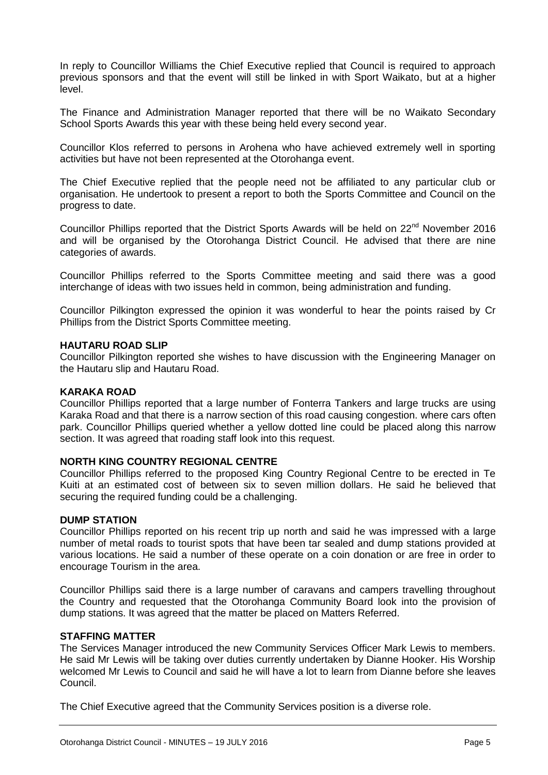In reply to Councillor Williams the Chief Executive replied that Council is required to approach previous sponsors and that the event will still be linked in with Sport Waikato, but at a higher level.

The Finance and Administration Manager reported that there will be no Waikato Secondary School Sports Awards this year with these being held every second year.

Councillor Klos referred to persons in Arohena who have achieved extremely well in sporting activities but have not been represented at the Otorohanga event.

The Chief Executive replied that the people need not be affiliated to any particular club or organisation. He undertook to present a report to both the Sports Committee and Council on the progress to date.

Councillor Phillips reported that the District Sports Awards will be held on 22<sup>nd</sup> November 2016 and will be organised by the Otorohanga District Council. He advised that there are nine categories of awards.

Councillor Phillips referred to the Sports Committee meeting and said there was a good interchange of ideas with two issues held in common, being administration and funding.

Councillor Pilkington expressed the opinion it was wonderful to hear the points raised by Cr Phillips from the District Sports Committee meeting.

#### **HAUTARU ROAD SLIP**

Councillor Pilkington reported she wishes to have discussion with the Engineering Manager on the Hautaru slip and Hautaru Road.

#### **KARAKA ROAD**

Councillor Phillips reported that a large number of Fonterra Tankers and large trucks are using Karaka Road and that there is a narrow section of this road causing congestion. where cars often park. Councillor Phillips queried whether a yellow dotted line could be placed along this narrow section. It was agreed that roading staff look into this request.

#### **NORTH KING COUNTRY REGIONAL CENTRE**

Councillor Phillips referred to the proposed King Country Regional Centre to be erected in Te Kuiti at an estimated cost of between six to seven million dollars. He said he believed that securing the required funding could be a challenging.

#### **DUMP STATION**

Councillor Phillips reported on his recent trip up north and said he was impressed with a large number of metal roads to tourist spots that have been tar sealed and dump stations provided at various locations. He said a number of these operate on a coin donation or are free in order to encourage Tourism in the area.

Councillor Phillips said there is a large number of caravans and campers travelling throughout the Country and requested that the Otorohanga Community Board look into the provision of dump stations. It was agreed that the matter be placed on Matters Referred.

#### **STAFFING MATTER**

The Services Manager introduced the new Community Services Officer Mark Lewis to members. He said Mr Lewis will be taking over duties currently undertaken by Dianne Hooker. His Worship welcomed Mr Lewis to Council and said he will have a lot to learn from Dianne before she leaves Council.

The Chief Executive agreed that the Community Services position is a diverse role.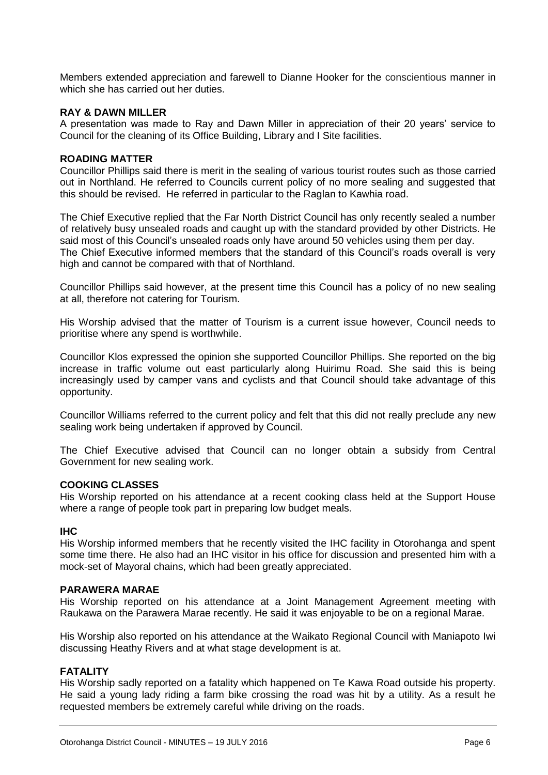Members extended appreciation and farewell to Dianne Hooker for the conscientious manner in which she has carried out her duties.

#### **RAY & DAWN MILLER**

A presentation was made to Ray and Dawn Miller in appreciation of their 20 years' service to Council for the cleaning of its Office Building, Library and I Site facilities.

#### **ROADING MATTER**

Councillor Phillips said there is merit in the sealing of various tourist routes such as those carried out in Northland. He referred to Councils current policy of no more sealing and suggested that this should be revised. He referred in particular to the Raglan to Kawhia road.

The Chief Executive replied that the Far North District Council has only recently sealed a number of relatively busy unsealed roads and caught up with the standard provided by other Districts. He said most of this Council's unsealed roads only have around 50 vehicles using them per day. The Chief Executive informed members that the standard of this Council's roads overall is very high and cannot be compared with that of Northland.

Councillor Phillips said however, at the present time this Council has a policy of no new sealing at all, therefore not catering for Tourism.

His Worship advised that the matter of Tourism is a current issue however, Council needs to prioritise where any spend is worthwhile.

Councillor Klos expressed the opinion she supported Councillor Phillips. She reported on the big increase in traffic volume out east particularly along Huirimu Road. She said this is being increasingly used by camper vans and cyclists and that Council should take advantage of this opportunity.

Councillor Williams referred to the current policy and felt that this did not really preclude any new sealing work being undertaken if approved by Council.

The Chief Executive advised that Council can no longer obtain a subsidy from Central Government for new sealing work.

#### **COOKING CLASSES**

His Worship reported on his attendance at a recent cooking class held at the Support House where a range of people took part in preparing low budget meals.

#### **IHC**

His Worship informed members that he recently visited the IHC facility in Otorohanga and spent some time there. He also had an IHC visitor in his office for discussion and presented him with a mock-set of Mayoral chains, which had been greatly appreciated.

#### **PARAWERA MARAE**

His Worship reported on his attendance at a Joint Management Agreement meeting with Raukawa on the Parawera Marae recently. He said it was enjoyable to be on a regional Marae.

His Worship also reported on his attendance at the Waikato Regional Council with Maniapoto Iwi discussing Heathy Rivers and at what stage development is at.

#### **FATALITY**

His Worship sadly reported on a fatality which happened on Te Kawa Road outside his property. He said a young lady riding a farm bike crossing the road was hit by a utility. As a result he requested members be extremely careful while driving on the roads.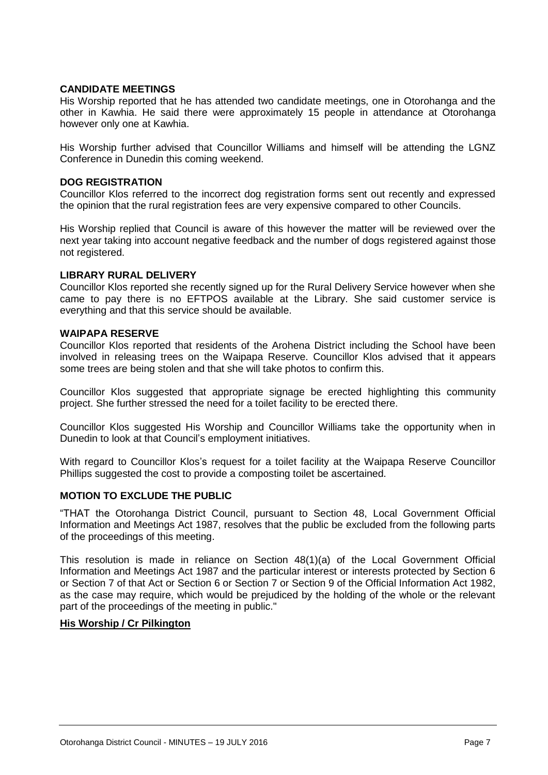#### **CANDIDATE MEETINGS**

His Worship reported that he has attended two candidate meetings, one in Otorohanga and the other in Kawhia. He said there were approximately 15 people in attendance at Otorohanga however only one at Kawhia.

His Worship further advised that Councillor Williams and himself will be attending the LGNZ Conference in Dunedin this coming weekend.

#### **DOG REGISTRATION**

Councillor Klos referred to the incorrect dog registration forms sent out recently and expressed the opinion that the rural registration fees are very expensive compared to other Councils.

His Worship replied that Council is aware of this however the matter will be reviewed over the next year taking into account negative feedback and the number of dogs registered against those not registered.

#### **LIBRARY RURAL DELIVERY**

Councillor Klos reported she recently signed up for the Rural Delivery Service however when she came to pay there is no EFTPOS available at the Library. She said customer service is everything and that this service should be available.

#### **WAIPAPA RESERVE**

Councillor Klos reported that residents of the Arohena District including the School have been involved in releasing trees on the Waipapa Reserve. Councillor Klos advised that it appears some trees are being stolen and that she will take photos to confirm this.

Councillor Klos suggested that appropriate signage be erected highlighting this community project. She further stressed the need for a toilet facility to be erected there.

Councillor Klos suggested His Worship and Councillor Williams take the opportunity when in Dunedin to look at that Council's employment initiatives.

With regard to Councillor Klos's request for a toilet facility at the Waipapa Reserve Councillor Phillips suggested the cost to provide a composting toilet be ascertained.

#### **MOTION TO EXCLUDE THE PUBLIC**

"THAT the Otorohanga District Council, pursuant to Section 48, Local Government Official Information and Meetings Act 1987, resolves that the public be excluded from the following parts of the proceedings of this meeting.

This resolution is made in reliance on Section 48(1)(a) of the Local Government Official Information and Meetings Act 1987 and the particular interest or interests protected by Section 6 or Section 7 of that Act or Section 6 or Section 7 or Section 9 of the Official Information Act 1982, as the case may require, which would be prejudiced by the holding of the whole or the relevant part of the proceedings of the meeting in public."

#### **His Worship / Cr Pilkington**